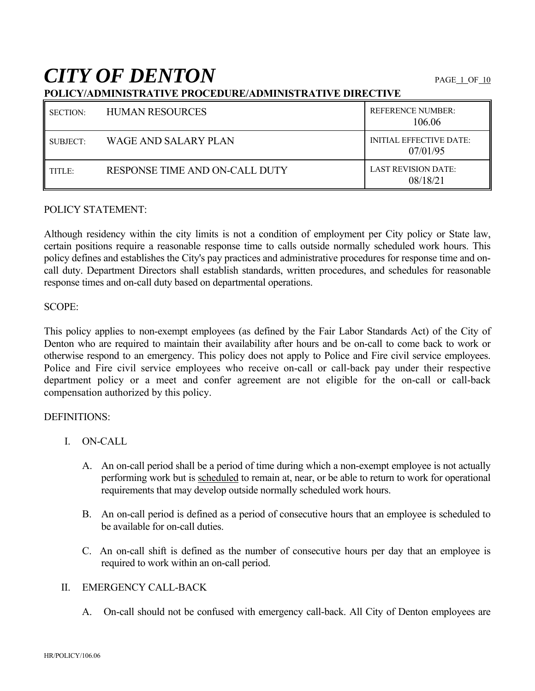# **CITY OF DENTON**

|--|

| <b>SECTION:</b> | <b>HUMAN RESOURCES</b>         | <b>REFERENCE NUMBER:</b><br>106.06         |
|-----------------|--------------------------------|--------------------------------------------|
| SUBJECT:        | WAGE AND SALARY PLAN           | <b>INITIAL EFFECTIVE DATE:</b><br>07/01/95 |
| TITLE:          | RESPONSE TIME AND ON-CALL DUTY | <b>LAST REVISION DATE:</b><br>08/18/21     |

#### POLICY STATEMENT:

Although residency within the city limits is not a condition of employment per City policy or State law, certain positions require a reasonable response time to calls outside normally scheduled work hours. This policy defines and establishes the City's pay practices and administrative procedures for response time and oncall duty. Department Directors shall establish standards, written procedures, and schedules for reasonable response times and on-call duty based on departmental operations.

#### SCOPE:

This policy applies to non-exempt employees (as defined by the Fair Labor Standards Act) of the City of Denton who are required to maintain their availability after hours and be on-call to come back to work or otherwise respond to an emergency. This policy does not apply to Police and Fire civil service employees. Police and Fire civil service employees who receive on-call or call-back pay under their respective department policy or a meet and confer agreement are not eligible for the on-call or call-back compensation authorized by this policy.

#### DEFINITIONS:

- I. ON-CALL
	- A. An on-call period shall be a period of time during which a non-exempt employee is not actually performing work but is scheduled to remain at, near, or be able to return to work for operational requirements that may develop outside normally scheduled work hours.
	- B. An on-call period is defined as a period of consecutive hours that an employee is scheduled to be available for on-call duties.
	- C. An on-call shift is defined as the number of consecutive hours per day that an employee is required to work within an on-call period.

# II. EMERGENCY CALL-BACK

A. On-call should not be confused with emergency call-back. All City of Denton employees are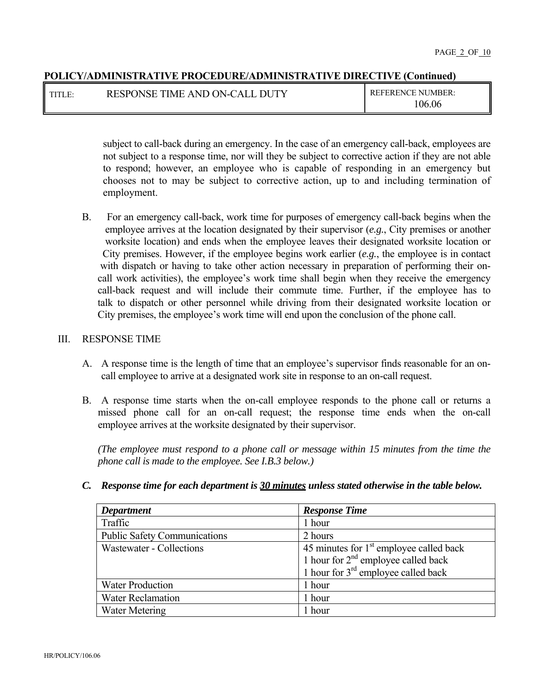| I titi e | RESPONSE TIME AND ON-CALL DUTY | <b>REFERENCE NUMBER:</b> |
|----------|--------------------------------|--------------------------|
|          |                                | 06.06                    |

subject to call-back during an emergency. In the case of an emergency call-back, employees are not subject to a response time, nor will they be subject to corrective action if they are not able to respond; however, an employee who is capable of responding in an emergency but chooses not to may be subject to corrective action, up to and including termination of employment.

B. For an emergency call-back, work time for purposes of emergency call-back begins when the employee arrives at the location designated by their supervisor (*e.g.*, City premises or another worksite location) and ends when the employee leaves their designated worksite location or City premises. However, if the employee begins work earlier (*e.g.*, the employee is in contact with dispatch or having to take other action necessary in preparation of performing their oncall work activities), the employee's work time shall begin when they receive the emergency call-back request and will include their commute time. Further, if the employee has to talk to dispatch or other personnel while driving from their designated worksite location or City premises, the employee's work time will end upon the conclusion of the phone call.

#### III. RESPONSE TIME

- A. A response time is the length of time that an employee's supervisor finds reasonable for an oncall employee to arrive at a designated work site in response to an on-call request.
- B. A response time starts when the on-call employee responds to the phone call or returns a missed phone call for an on-call request; the response time ends when the on-call employee arrives at the worksite designated by their supervisor.

*(The employee must respond to a phone call or message within 15 minutes from the time the phone call is made to the employee. See I.B.3 below.)* 

*C. Response time for each department is 30 minutes unless stated otherwise in the table below.* 

| <b>Department</b>                   | <b>Response Time</b>                      |
|-------------------------------------|-------------------------------------------|
| Traffic                             | 1 hour                                    |
| <b>Public Safety Communications</b> | 2 hours                                   |
| Wastewater - Collections            | 45 minutes for $1st$ employee called back |
|                                     | 1 hour for $2nd$ employee called back     |
|                                     | 1 hour for $3rd$ employee called back     |
| <b>Water Production</b>             | 1 hour                                    |
| <b>Water Reclamation</b>            | 1 hour                                    |
| <b>Water Metering</b>               | 1 hour                                    |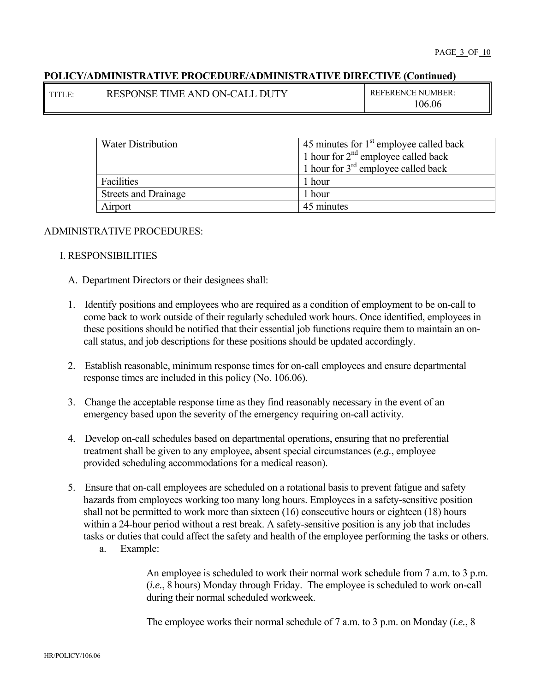| TITLE. | <b>RESPONSE TIME AND ON-CALL</b><br>DГ | <b>REFERENCE NUMBER:</b> |
|--------|----------------------------------------|--------------------------|
|        |                                        | 06.06                    |

| <b>Water Distribution</b>   | 45 minutes for $1st$ employee called back |  |
|-----------------------------|-------------------------------------------|--|
|                             | 1 hour for $2^{nd}$ employee called back  |  |
|                             | 1 hour for $3^{rd}$ employee called back  |  |
| Facilities                  | 1 hour                                    |  |
| <b>Streets and Drainage</b> | 1 hour                                    |  |
| Airport                     | 45 minutes                                |  |

#### ADMINISTRATIVE PROCEDURES:

#### I. RESPONSIBILITIES

- A. Department Directors or their designees shall:
- 1. Identify positions and employees who are required as a condition of employment to be on-call to come back to work outside of their regularly scheduled work hours. Once identified, employees in these positions should be notified that their essential job functions require them to maintain an oncall status, and job descriptions for these positions should be updated accordingly.
- 2. Establish reasonable, minimum response times for on-call employees and ensure departmental response times are included in this policy (No. 106.06).
- 3. Change the acceptable response time as they find reasonably necessary in the event of an emergency based upon the severity of the emergency requiring on-call activity.
- 4. Develop on-call schedules based on departmental operations, ensuring that no preferential treatment shall be given to any employee, absent special circumstances (*e.g.*, employee provided scheduling accommodations for a medical reason).
- 5. Ensure that on-call employees are scheduled on a rotational basis to prevent fatigue and safety hazards from employees working too many long hours. Employees in a safety-sensitive position shall not be permitted to work more than sixteen (16) consecutive hours or eighteen (18) hours within a 24-hour period without a rest break. A safety-sensitive position is any job that includes tasks or duties that could affect the safety and health of the employee performing the tasks or others.
	- a. Example:

An employee is scheduled to work their normal work schedule from 7 a.m. to 3 p.m. (*i.e.*, 8 hours) Monday through Friday. The employee is scheduled to work on-call during their normal scheduled workweek.

The employee works their normal schedule of 7 a.m. to 3 p.m. on Monday (*i.e.*, 8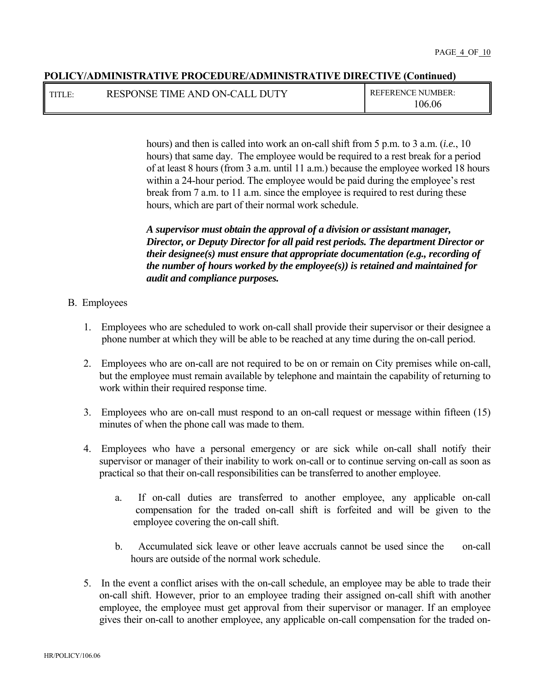TITLE: RESPONSE TIME AND ON-CALL DUTY REFERENCE NUMBER:

106.06

hours) and then is called into work an on-call shift from 5 p.m. to 3 a.m. (*i.e.*, 10 hours) that same day. The employee would be required to a rest break for a period of at least 8 hours (from 3 a.m. until 11 a.m.) because the employee worked 18 hours within a 24-hour period. The employee would be paid during the employee's rest break from 7 a.m. to 11 a.m. since the employee is required to rest during these hours, which are part of their normal work schedule.

*A supervisor must obtain the approval of a division or assistant manager, Director, or Deputy Director for all paid rest periods. The department Director or their designee(s) must ensure that appropriate documentation (e.g., recording of the number of hours worked by the employee(s)) is retained and maintained for audit and compliance purposes.* 

#### B. Employees

- 1. Employees who are scheduled to work on-call shall provide their supervisor or their designee a phone number at which they will be able to be reached at any time during the on-call period.
- 2. Employees who are on-call are not required to be on or remain on City premises while on-call, but the employee must remain available by telephone and maintain the capability of returning to work within their required response time.
- 3. Employees who are on-call must respond to an on-call request or message within fifteen (15) minutes of when the phone call was made to them.
- 4. Employees who have a personal emergency or are sick while on-call shall notify their supervisor or manager of their inability to work on-call or to continue serving on-call as soon as practical so that their on-call responsibilities can be transferred to another employee.
	- a. If on-call duties are transferred to another employee, any applicable on-call compensation for the traded on-call shift is forfeited and will be given to the employee covering the on-call shift.
	- b. Accumulated sick leave or other leave accruals cannot be used since the on-call hours are outside of the normal work schedule.
- 5. In the event a conflict arises with the on-call schedule, an employee may be able to trade their on-call shift. However, prior to an employee trading their assigned on-call shift with another employee, the employee must get approval from their supervisor or manager. If an employee gives their on-call to another employee, any applicable on-call compensation for the traded on-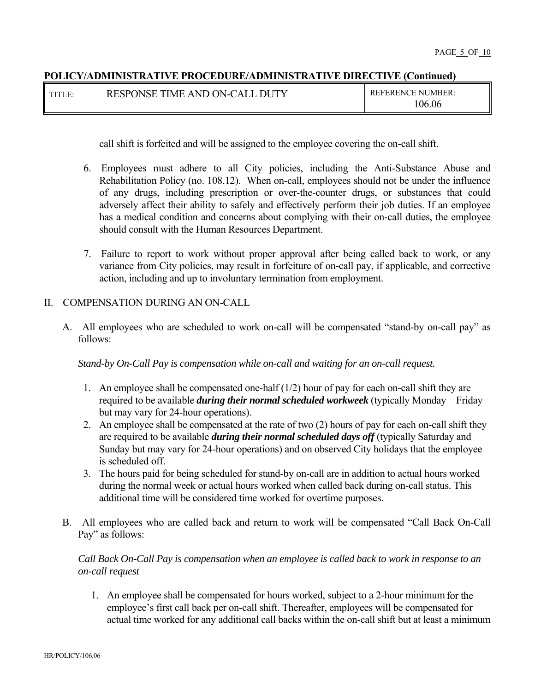| TITI | TTV<br><b>RESPONSE</b><br><b>TIME</b><br>: AND ON-CALL<br>DI. | <b>REFERENCE NUMBER:</b> |
|------|---------------------------------------------------------------|--------------------------|
|      |                                                               | 106.06                   |

call shift is forfeited and will be assigned to the employee covering the on-call shift.

- 6. Employees must adhere to all City policies, including the Anti-Substance Abuse and Rehabilitation Policy (no. 108.12). When on-call, employees should not be under the influence of any drugs, including prescription or over-the-counter drugs, or substances that could adversely affect their ability to safely and effectively perform their job duties. If an employee has a medical condition and concerns about complying with their on-call duties, the employee should consult with the Human Resources Department.
- 7. Failure to report to work without proper approval after being called back to work, or any variance from City policies, may result in forfeiture of on-call pay, if applicable, and corrective action, including and up to involuntary termination from employment.

#### II. COMPENSATION DURING AN ON-CALL

A. All employees who are scheduled to work on-call will be compensated "stand-by on-call pay" as follows:

*Stand-by On-Call Pay is compensation while on-call and waiting for an on-call request.* 

- 1. An employee shall be compensated one-half  $(1/2)$  hour of pay for each on-call shift they are required to be available *during their normal scheduled workweek* (typically Monday – Friday but may vary for 24-hour operations).
- 2. An employee shall be compensated at the rate of two (2) hours of pay for each on-call shift they are required to be available *during their normal scheduled days off* (typically Saturday and Sunday but may vary for 24-hour operations) and on observed City holidays that the employee is scheduled off.
- 3. The hours paid for being scheduled for stand-by on-call are in addition to actual hours worked during the normal week or actual hours worked when called back during on-call status. This additional time will be considered time worked for overtime purposes.
- B. All employees who are called back and return to work will be compensated "Call Back On-Call Pay" as follows:

# *Call Back On-Call Pay is compensation when an employee is called back to work in response to an on-call request*

1. An employee shall be compensated for hours worked, subject to a 2-hour minimumfor the employee's first call back per on-call shift. Thereafter, employees will be compensated for actual time worked for any additional call backs within the on-call shift but at least a minimum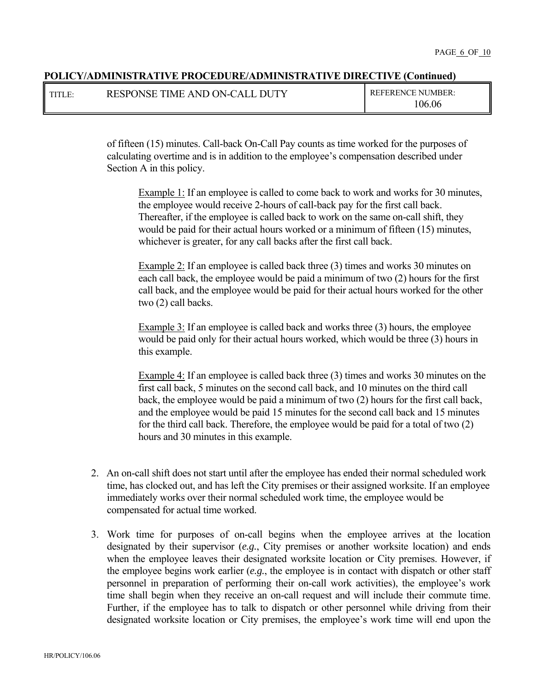| TITLE: | RESPONSE TIME AND ON-CALL DUTY | <b>REFERENCE NUMBER:</b> |
|--------|--------------------------------|--------------------------|
|        |                                | 106.06                   |

of fifteen (15) minutes. Call-back On-Call Pay counts as time worked for the purposes of calculating overtime and is in addition to the employee's compensation described under Section A in this policy.

Example 1: If an employee is called to come back to work and works for 30 minutes, the employee would receive 2-hours of call-back pay for the first call back. Thereafter, if the employee is called back to work on the same on-call shift, they would be paid for their actual hours worked or a minimum of fifteen (15) minutes, whichever is greater, for any call backs after the first call back.

Example 2: If an employee is called back three (3) times and works 30 minutes on each call back, the employee would be paid a minimum of two (2) hours for the first call back, and the employee would be paid for their actual hours worked for the other two (2) call backs.

Example 3: If an employee is called back and works three (3) hours, the employee would be paid only for their actual hours worked, which would be three (3) hours in this example.

Example 4: If an employee is called back three (3) times and works 30 minutes on the first call back, 5 minutes on the second call back, and 10 minutes on the third call back, the employee would be paid a minimum of two (2) hours for the first call back, and the employee would be paid 15 minutes for the second call back and 15 minutes for the third call back. Therefore, the employee would be paid for a total of two (2) hours and 30 minutes in this example.

- 2. An on-call shift does not start until after the employee has ended their normal scheduled work time, has clocked out, and has left the City premises or their assigned worksite. If an employee immediately works over their normal scheduled work time, the employee would be compensated for actual time worked.
- 3. Work time for purposes of on-call begins when the employee arrives at the location designated by their supervisor (*e.g.*, City premises or another worksite location) and ends when the employee leaves their designated worksite location or City premises. However, if the employee begins work earlier (*e.g.*, the employee is in contact with dispatch or other staff personnel in preparation of performing their on-call work activities), the employee's work time shall begin when they receive an on-call request and will include their commute time. Further, if the employee has to talk to dispatch or other personnel while driving from their designated worksite location or City premises, the employee's work time will end upon the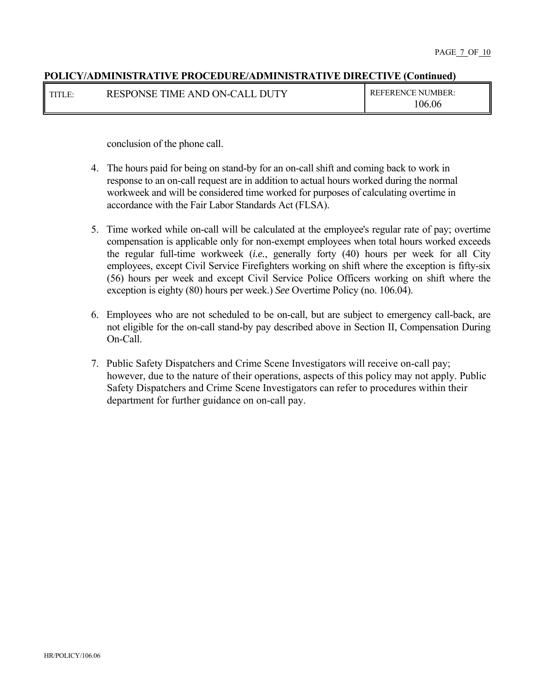| TITLE: | RESPONSE TIME AND ON-CALL DUTY | <b>REFERENCE NUMBER:</b> |
|--------|--------------------------------|--------------------------|
|        |                                | 106.06                   |

conclusion of the phone call.

- 4. The hours paid for being on stand-by for an on-call shift and coming back to work in response to an on-call request are in addition to actual hours worked during the normal workweek and will be considered time worked for purposes of calculating overtime in accordance with the Fair Labor Standards Act (FLSA).
- 5. Time worked while on-call will be calculated at the employee's regular rate of pay; overtime compensation is applicable only for non-exempt employees when total hours worked exceeds the regular full-time workweek (*i.e.*, generally forty (40) hours per week for all City employees, except Civil Service Firefighters working on shift where the exception is fifty-six (56) hours per week and except Civil Service Police Officers working on shift where the exception is eighty (80) hours per week.) *See* Overtime Policy (no. 106.04).
- 6. Employees who are not scheduled to be on-call, but are subject to emergency call-back, are not eligible for the on-call stand-by pay described above in Section II, Compensation During On-Call.
- 7. Public Safety Dispatchers and Crime Scene Investigators will receive on-call pay; however, due to the nature of their operations, aspects of this policy may not apply. Public Safety Dispatchers and Crime Scene Investigators can refer to procedures within their department for further guidance on on-call pay.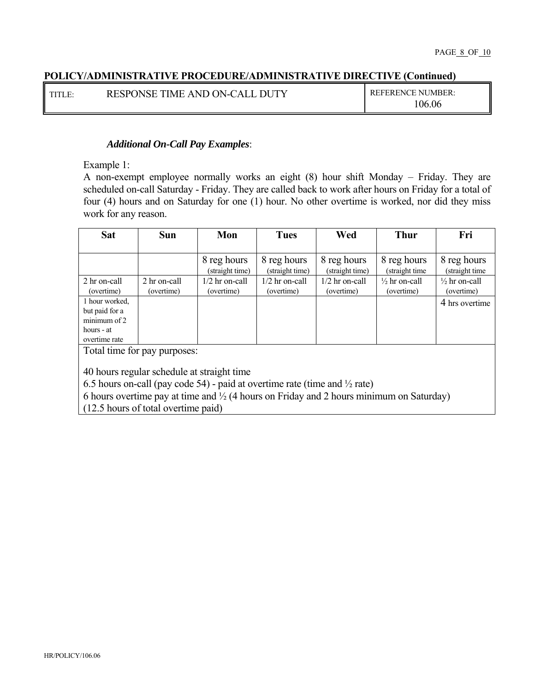| TITLE: | RESPONSE TIME AND ON-CALL DUTY | <b>REFERENCE NUMBER:</b> |
|--------|--------------------------------|--------------------------|
|        |                                | 106.06                   |

## *Additional On-Call Pay Examples*:

Example 1:

A non-exempt employee normally works an eight (8) hour shift Monday – Friday. They are scheduled on-call Saturday - Friday. They are called back to work after hours on Friday for a total of four (4) hours and on Saturday for one (1) hour. No other overtime is worked, nor did they miss work for any reason.

| <b>Sat</b>                   | <b>Sun</b>   | Mon                            | <b>Tues</b>                    | Wed                            | <b>Thur</b>                    | Fri                           |
|------------------------------|--------------|--------------------------------|--------------------------------|--------------------------------|--------------------------------|-------------------------------|
|                              |              |                                |                                |                                |                                |                               |
|                              |              | 8 reg hours<br>(straight time) | 8 reg hours<br>(straight time) | 8 reg hours<br>(straight time) | 8 reg hours<br>(straight time) | 8 reg hours<br>(straight time |
| 2 hr on-call                 | 2 hr on-call | $1/2$ hr on-call               | 1/2 hr on-call                 | $1/2$ hr on-call               | $\frac{1}{2}$ hr on-call       | $\frac{1}{2}$ hr on-call      |
| (overtime)                   | (overtime)   | (overtime)                     | (overtime)                     | (overtime)                     | (overtime)                     | (overtime)                    |
| 1 hour worked,               |              |                                |                                |                                |                                | 4 hrs overtime                |
| but paid for a               |              |                                |                                |                                |                                |                               |
| minimum of 2                 |              |                                |                                |                                |                                |                               |
| hours - at                   |              |                                |                                |                                |                                |                               |
| overtime rate                |              |                                |                                |                                |                                |                               |
| Total time for pay purposes: |              |                                |                                |                                |                                |                               |

ay pur<sub>l</sub>

40 hours regular schedule at straight time

6.5 hours on-call (pay code 54) - paid at overtime rate (time and  $\frac{1}{2}$  rate)

6 hours overtime pay at time and ½ (4 hours on Friday and 2 hours minimum on Saturday)

(12.5 hours of total overtime paid)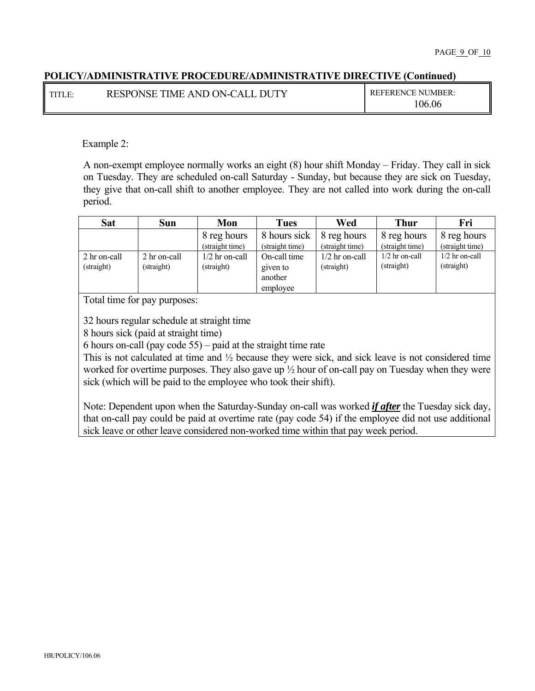| TITLE: | RESPONSE TIME AND ON-CALL DUTY | <b>REFERENCE NUMBER:</b> |
|--------|--------------------------------|--------------------------|
|        |                                | $\backslash 06.06$       |

Example 2:

A non-exempt employee normally works an eight (8) hour shift Monday – Friday. They call in sick on Tuesday. They are scheduled on-call Saturday - Sunday, but because they are sick on Tuesday, they give that on-call shift to another employee. They are not called into work during the on-call period.

| <b>Sat</b>                 | Sun                        | Mon                            | <b>Tues</b>                                     | Wed                            | <b>Thur</b>                    | Fri                            |
|----------------------------|----------------------------|--------------------------------|-------------------------------------------------|--------------------------------|--------------------------------|--------------------------------|
|                            |                            | 8 reg hours<br>(straight time) | 8 hours sick<br>(straight time)                 | 8 reg hours<br>(straight time) | 8 reg hours<br>(straight time) | 8 reg hours<br>(straight time) |
| 2 hr on-call<br>(straight) | 2 hr on-call<br>(straight) | $1/2$ hr on-call<br>(straight) | On-call time<br>given to<br>another<br>employee | $1/2$ hr on-call<br>(straight) | $1/2$ hr on-call<br>(straight) | $1/2$ hr on-call<br>(straight) |

Total time for pay purposes:

32 hours regular schedule at straight time

8 hours sick (paid at straight time)

6 hours on-call (pay code 55) – paid at the straight time rate

This is not calculated at time and ½ because they were sick, and sick leave is not considered time worked for overtime purposes. They also gave up ½ hour of on-call pay on Tuesday when they were sick (which will be paid to the employee who took their shift).

Note: Dependent upon when the Saturday-Sunday on-call was worked *if after* the Tuesday sick day, that on-call pay could be paid at overtime rate (pay code 54) if the employee did not use additional sick leave or other leave considered non-worked time within that pay week period.